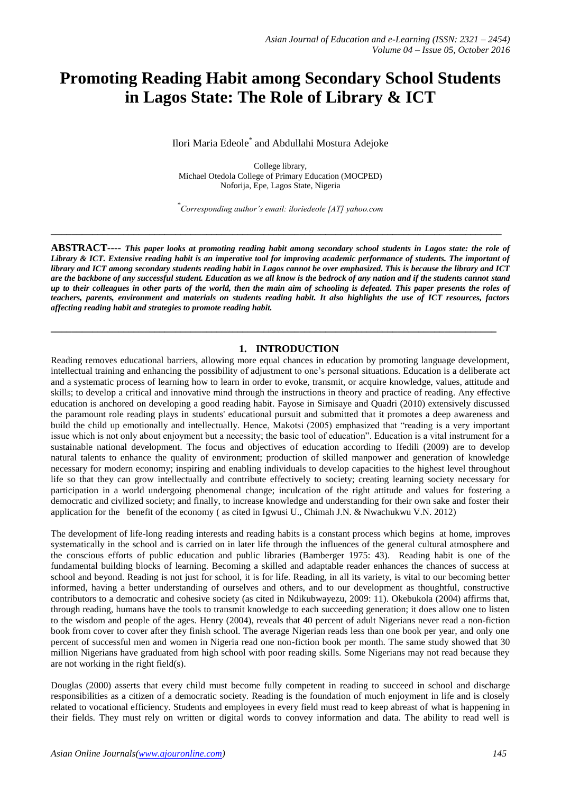# **Promoting Reading Habit among Secondary School Students in Lagos State: The Role of Library & ICT**

Ilori Maria Edeole\* and Abdullahi Mostura Adejoke

College library, Michael Otedola College of Primary Education (MOCPED) Noforija, Epe, Lagos State, Nigeria

\* *Corresponding author's email: iloriedeole [AT] yahoo.com*

**\_\_\_\_\_\_\_\_\_\_\_\_\_\_\_\_\_\_\_\_\_\_\_\_\_\_\_\_\_\_\_\_\_\_\_\_\_\_\_\_\_\_\_\_\_\_\_\_\_\_\_\_\_\_\_\_\_\_\_\_\_\_\_\_\_\_\_\_\_\_\_\_\_\_\_\_\_\_\_\_\_\_\_\_\_\_\_**

**ABSTRACT----** *This paper looks at promoting reading habit among secondary school students in Lagos state: the role of Library & ICT. Extensive reading habit is an imperative tool for improving academic performance of students. The important of library and ICT among secondary students reading habit in Lagos cannot be over emphasized. This is because the library and ICT are the backbone of any successful student. Education as we all know is the bedrock of any nation and if the students cannot stand up to their colleagues in other parts of the world, then the main aim of schooling is defeated. This paper presents the roles of teachers, parents, environment and materials on students reading habit. It also highlights the use of ICT resources, factors affecting reading habit and strategies to promote reading habit.*

**\_\_\_\_\_\_\_\_\_\_\_\_\_\_\_\_\_\_\_\_\_\_\_\_\_\_\_\_\_\_\_\_\_\_\_\_\_\_\_\_\_\_\_\_\_\_\_\_\_\_\_\_\_\_\_\_\_\_\_\_\_\_\_\_\_\_\_\_\_\_\_\_\_\_\_\_\_\_\_\_\_\_\_\_\_\_**

# **1. INTRODUCTION**

Reading removes educational barriers, allowing more equal chances in education by promoting language development, intellectual training and enhancing the possibility of adjustment to one's personal situations. Education is a deliberate act and a systematic process of learning how to learn in order to evoke, transmit, or acquire knowledge, values, attitude and skills; to develop a critical and innovative mind through the instructions in theory and practice of reading. Any effective education is anchored on developing a good reading habit. Fayose in Simisaye and Quadri (2010) extensively discussed the paramount role reading plays in students' educational pursuit and submitted that it promotes a deep awareness and build the child up emotionally and intellectually. Hence, Makotsi (2005) emphasized that "reading is a very important issue which is not only about enjoyment but a necessity; the basic tool of education". Education is a vital instrument for a sustainable national development. The focus and objectives of education according to Ifedili (2009) are to develop natural talents to enhance the quality of environment; production of skilled manpower and generation of knowledge necessary for modern economy; inspiring and enabling individuals to develop capacities to the highest level throughout life so that they can grow intellectually and contribute effectively to society; creating learning society necessary for participation in a world undergoing phenomenal change; inculcation of the right attitude and values for fostering a democratic and civilized society; and finally, to increase knowledge and understanding for their own sake and foster their application for the benefit of the economy ( as cited in Igwusi U., Chimah J.N. & Nwachukwu V.N. 2012)

The development of life-long reading interests and reading habits is a constant process which begins at home, improves systematically in the school and is carried on in later life through the influences of the general cultural atmosphere and the conscious efforts of public education and public libraries (Bamberger 1975: 43). Reading habit is one of the fundamental building blocks of learning. Becoming a skilled and adaptable reader enhances the chances of success at school and beyond. Reading is not just for school, it is for life. Reading, in all its variety, is vital to our becoming better informed, having a better understanding of ourselves and others, and to our development as thoughtful, constructive contributors to a democratic and cohesive society (as cited in Ndikubwayezu, 2009: 11). Okebukola (2004) affirms that, through reading, humans have the tools to transmit knowledge to each succeeding generation; it does allow one to listen to the wisdom and people of the ages. Henry (2004), reveals that 40 percent of adult Nigerians never read a non-fiction book from cover to cover after they finish school. The average Nigerian reads less than one book per year, and only one percent of successful men and women in Nigeria read one non-fiction book per month. The same study showed that 30 million Nigerians have graduated from high school with poor reading skills. Some Nigerians may not read because they are not working in the right field(s).

Douglas (2000) asserts that every child must become fully competent in reading to succeed in school and discharge responsibilities as a citizen of a democratic society. Reading is the foundation of much enjoyment in life and is closely related to vocational efficiency. Students and employees in every field must read to keep abreast of what is happening in their fields. They must rely on written or digital words to convey information and data. The ability to read well is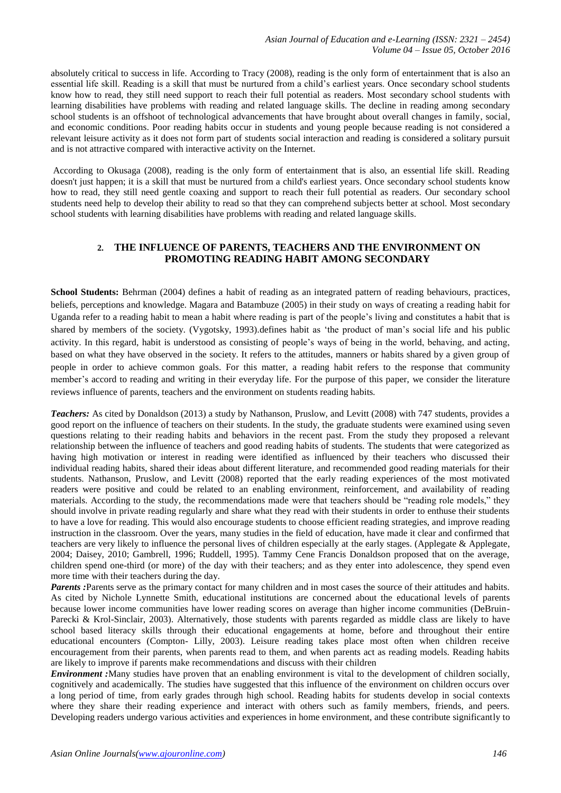absolutely critical to success in life. According to Tracy (2008), reading is the only form of entertainment that is also an essential life skill. Reading is a skill that must be nurtured from a child's earliest years. Once secondary school students know how to read, they still need support to reach their full potential as readers. Most secondary school students with learning disabilities have problems with reading and related language skills. The decline in reading among secondary school students is an offshoot of technological advancements that have brought about overall changes in family, social, and economic conditions. Poor reading habits occur in students and young people because reading is not considered a relevant leisure activity as it does not form part of students social interaction and reading is considered a solitary pursuit and is not attractive compared with interactive activity on the Internet.

According to Okusaga (2008), reading is the only form of entertainment that is also, an essential life skill. Reading doesn't just happen; it is a skill that must be nurtured from a child's earliest years. Once secondary school students know how to read, they still need gentle coaxing and support to reach their full potential as readers. Our secondary school students need help to develop their ability to read so that they can comprehend subjects better at school. Most secondary school students with learning disabilities have problems with reading and related language skills.

# **2. THE INFLUENCE OF PARENTS, TEACHERS AND THE ENVIRONMENT ON PROMOTING READING HABIT AMONG SECONDARY**

**School Students:** Behrman (2004) defines a habit of reading as an integrated pattern of reading behaviours, practices, beliefs, perceptions and knowledge. Magara and Batambuze (2005) in their study on ways of creating a reading habit for Uganda refer to a reading habit to mean a habit where reading is part of the people's living and constitutes a habit that is shared by members of the society. (Vygotsky, 1993).defines habit as 'the product of man's social life and his public activity. In this regard, habit is understood as consisting of people's ways of being in the world, behaving, and acting, based on what they have observed in the society. It refers to the attitudes, manners or habits shared by a given group of people in order to achieve common goals. For this matter, a reading habit refers to the response that community member's accord to reading and writing in their everyday life. For the purpose of this paper, we consider the literature reviews influence of parents, teachers and the environment on students reading habits*.*

*Teachers:* As cited by Donaldson (2013) a study by Nathanson, Pruslow, and Levitt (2008) with 747 students, provides a good report on the influence of teachers on their students. In the study, the graduate students were examined using seven questions relating to their reading habits and behaviors in the recent past. From the study they proposed a relevant relationship between the influence of teachers and good reading habits of students. The students that were categorized as having high motivation or interest in reading were identified as influenced by their teachers who discussed their individual reading habits, shared their ideas about different literature, and recommended good reading materials for their students. Nathanson, Pruslow, and Levitt (2008) reported that the early reading experiences of the most motivated readers were positive and could be related to an enabling environment, reinforcement, and availability of reading materials. According to the study, the recommendations made were that teachers should be "reading role models," they should involve in private reading regularly and share what they read with their students in order to enthuse their students to have a love for reading. This would also encourage students to choose efficient reading strategies, and improve reading instruction in the classroom. Over the years, many studies in the field of education, have made it clear and confirmed that teachers are very likely to influence the personal lives of children especially at the early stages. (Applegate & Applegate, 2004; Daisey, 2010; Gambrell, 1996; Ruddell, 1995). Tammy Cene Francis Donaldson proposed that on the average, children spend one-third (or more) of the day with their teachers; and as they enter into adolescence, they spend even more time with their teachers during the day.

*Parents* :Parents serve as the primary contact for many children and in most cases the source of their attitudes and habits. As cited by Nichole Lynnette Smith, educational institutions are concerned about the educational levels of parents because lower income communities have lower reading scores on average than higher income communities (DeBruin-Parecki & Krol-Sinclair, 2003). Alternatively, those students with parents regarded as middle class are likely to have school based literacy skills through their educational engagements at home, before and throughout their entire educational encounters (Compton- Lilly, 2003). Leisure reading takes place most often when children receive encouragement from their parents, when parents read to them, and when parents act as reading models. Reading habits are likely to improve if parents make recommendations and discuss with their children

*Environment :*Many studies have proven that an enabling environment is vital to the development of children socially, cognitively and academically. The studies have suggested that this influence of the environment on children occurs over a long period of time, from early grades through high school. Reading habits for students develop in social contexts where they share their reading experience and interact with others such as family members, friends, and peers. Developing readers undergo various activities and experiences in home environment, and these contribute significantly to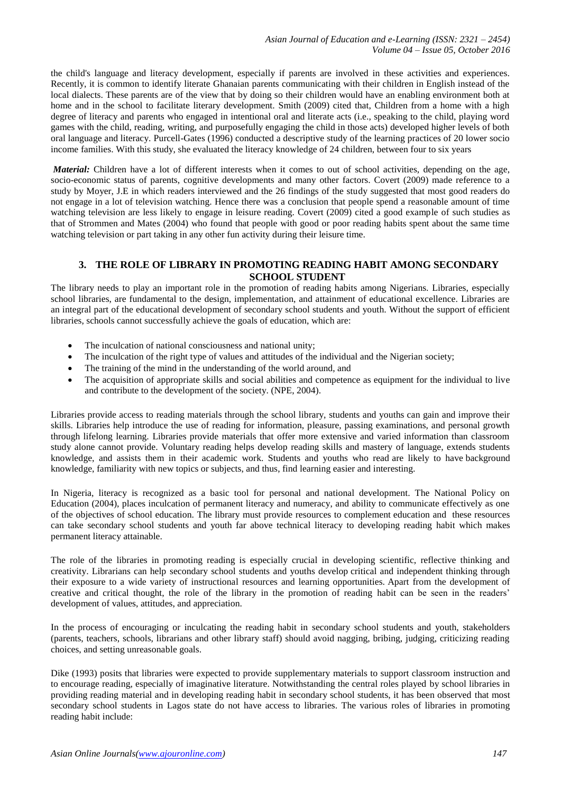the child's language and literacy development, especially if parents are involved in these activities and experiences. Recently, it is common to identify literate Ghanaian parents communicating with their children in English instead of the local dialects. These parents are of the view that by doing so their children would have an enabling environment both at home and in the school to facilitate literary development. Smith (2009) cited that, Children from a home with a high degree of literacy and parents who engaged in intentional oral and literate acts (i.e., speaking to the child, playing word games with the child, reading, writing, and purposefully engaging the child in those acts) developed higher levels of both oral language and literacy. Purcell-Gates (1996) conducted a descriptive study of the learning practices of 20 lower socio income families. With this study, she evaluated the literacy knowledge of 24 children, between four to six years

*Material:* Children have a lot of different interests when it comes to out of school activities, depending on the age, socio-economic status of parents, cognitive developments and many other factors. Covert (2009) made reference to a study by Moyer, J.E in which readers interviewed and the 26 findings of the study suggested that most good readers do not engage in a lot of television watching. Hence there was a conclusion that people spend a reasonable amount of time watching television are less likely to engage in leisure reading. Covert (2009) cited a good example of such studies as that of Strommen and Mates (2004) who found that people with good or poor reading habits spent about the same time watching television or part taking in any other fun activity during their leisure time.

## **3. THE ROLE OF LIBRARY IN PROMOTING READING HABIT AMONG SECONDARY SCHOOL STUDENT**

The library needs to play an important role in the promotion of reading habits among Nigerians. Libraries, especially school libraries, are fundamental to the design, implementation, and attainment of educational excellence. Libraries are an integral part of the educational development of secondary school students and youth. Without the support of efficient libraries, schools cannot successfully achieve the goals of education, which are:

- The inculcation of national consciousness and national unity;
- The inculcation of the right type of values and attitudes of the individual and the Nigerian society;
- The training of the mind in the understanding of the world around, and
- The acquisition of appropriate skills and social abilities and competence as equipment for the individual to live and contribute to the development of the society. (NPE, 2004).

Libraries provide access to reading materials through the school library, students and youths can gain and improve their skills. Libraries help introduce the use of reading for information, pleasure, passing examinations, and personal growth through lifelong learning. Libraries provide materials that offer more extensive and varied information than classroom study alone cannot provide. Voluntary reading helps develop reading skills and mastery of language, extends students knowledge, and assists them in their academic work. Students and youths who read are likely to have background knowledge, familiarity with new topics or subjects, and thus, find learning easier and interesting.

In Nigeria, literacy is recognized as a basic tool for personal and national development. The National Policy on Education (2004), places inculcation of permanent literacy and numeracy, and ability to communicate effectively as one of the objectives of school education. The library must provide resources to complement education and these resources can take secondary school students and youth far above technical literacy to developing reading habit which makes permanent literacy attainable.

The role of the libraries in promoting reading is especially crucial in developing scientific, reflective thinking and creativity. Librarians can help secondary school students and youths develop critical and independent thinking through their exposure to a wide variety of instructional resources and learning opportunities. Apart from the development of creative and critical thought, the role of the library in the promotion of reading habit can be seen in the readers' development of values, attitudes, and appreciation.

In the process of encouraging or inculcating the reading habit in secondary school students and youth, stakeholders (parents, teachers, schools, librarians and other library staff) should avoid nagging, bribing, judging, criticizing reading choices, and setting unreasonable goals.

Dike (1993) posits that libraries were expected to provide supplementary materials to support classroom instruction and to encourage reading, especially of imaginative literature. Notwithstanding the central roles played by school libraries in providing reading material and in developing reading habit in secondary school students, it has been observed that most secondary school students in Lagos state do not have access to libraries. The various roles of libraries in promoting reading habit include: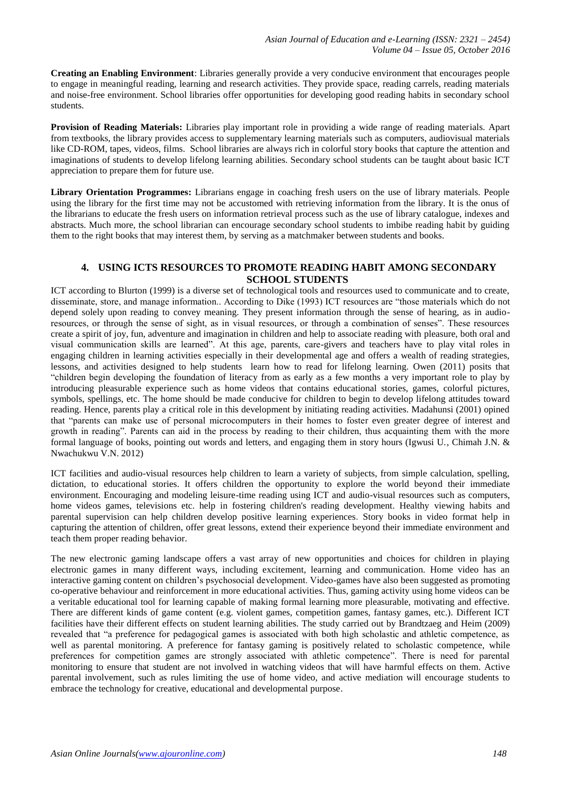**Creating an Enabling Environment**: Libraries generally provide a very conducive environment that encourages people to engage in meaningful reading, learning and research activities. They provide space, reading carrels, reading materials and noise-free environment. School libraries offer opportunities for developing good reading habits in secondary school students.

**Provision of Reading Materials:** Libraries play important role in providing a wide range of reading materials. Apart from textbooks, the library provides access to supplementary learning materials such as computers, audiovisual materials like CD-ROM, tapes, videos, films. School libraries are always rich in colorful story books that capture the attention and imaginations of students to develop lifelong learning abilities. Secondary school students can be taught about basic ICT appreciation to prepare them for future use.

**Library Orientation Programmes:** Librarians engage in coaching fresh users on the use of library materials. People using the library for the first time may not be accustomed with retrieving information from the library. It is the onus of the librarians to educate the fresh users on information retrieval process such as the use of library catalogue, indexes and abstracts. Much more, the school librarian can encourage secondary school students to imbibe reading habit by guiding them to the right books that may interest them, by serving as a matchmaker between students and books.

#### **4. USING ICTS RESOURCES TO PROMOTE READING HABIT AMONG SECONDARY SCHOOL STUDENTS**

ICT according to Blurton (1999) is a diverse set of technological tools and resources used to communicate and to create, disseminate, store, and manage information.. According to Dike (1993) ICT resources are "those materials which do not depend solely upon reading to convey meaning. They present information through the sense of hearing, as in audioresources, or through the sense of sight, as in visual resources, or through a combination of senses". These resources create a spirit of joy, fun, adventure and imagination in children and help to associate reading with pleasure, both oral and visual communication skills are learned". At this age, parents, care-givers and teachers have to play vital roles in engaging children in learning activities especially in their developmental age and offers a wealth of reading strategies, lessons, and activities designed to help students learn how to read for lifelong learning. Owen (2011) posits that "children begin developing the foundation of literacy from as early as a few months a very important role to play by introducing pleasurable experience such as home videos that contains educational stories, games, colorful pictures, symbols, spellings, etc. The home should be made conducive for children to begin to develop lifelong attitudes toward reading. Hence, parents play a critical role in this development by initiating reading activities. Madahunsi (2001) opined that "parents can make use of personal microcomputers in their homes to foster even greater degree of interest and growth in reading". Parents can aid in the process by reading to their children, thus acquainting them with the more formal language of books, pointing out words and letters, and engaging them in story hours (Igwusi U., Chimah J.N. & Nwachukwu V.N. 2012)

ICT facilities and audio-visual resources help children to learn a variety of subjects, from simple calculation, spelling, dictation, to educational stories. It offers children the opportunity to explore the world beyond their immediate environment. Encouraging and modeling leisure-time reading using ICT and audio-visual resources such as computers, home videos games, televisions etc. help in fostering children's reading development. Healthy viewing habits and parental supervision can help children develop positive learning experiences. Story books in video format help in capturing the attention of children, offer great lessons, extend their experience beyond their immediate environment and teach them proper reading behavior.

The new electronic gaming landscape offers a vast array of new opportunities and choices for children in playing electronic games in many different ways, including excitement, learning and communication. Home video has an interactive gaming content on children's psychosocial development. Video-games have also been suggested as promoting co-operative behaviour and reinforcement in more educational activities. Thus, gaming activity using home videos can be a veritable educational tool for learning capable of making formal learning more pleasurable, motivating and effective. There are different kinds of game content (e.g. violent games, competition games, fantasy games, etc.). Different ICT facilities have their different effects on student learning abilities. The study carried out by Brandtzaeg and Heim (2009) revealed that "a preference for pedagogical games is associated with both high scholastic and athletic competence, as well as parental monitoring. A preference for fantasy gaming is positively related to scholastic competence, while preferences for competition games are strongly associated with athletic competence". There is need for parental monitoring to ensure that student are not involved in watching videos that will have harmful effects on them. Active parental involvement, such as rules limiting the use of home video, and active mediation will encourage students to embrace the technology for creative, educational and developmental purpose.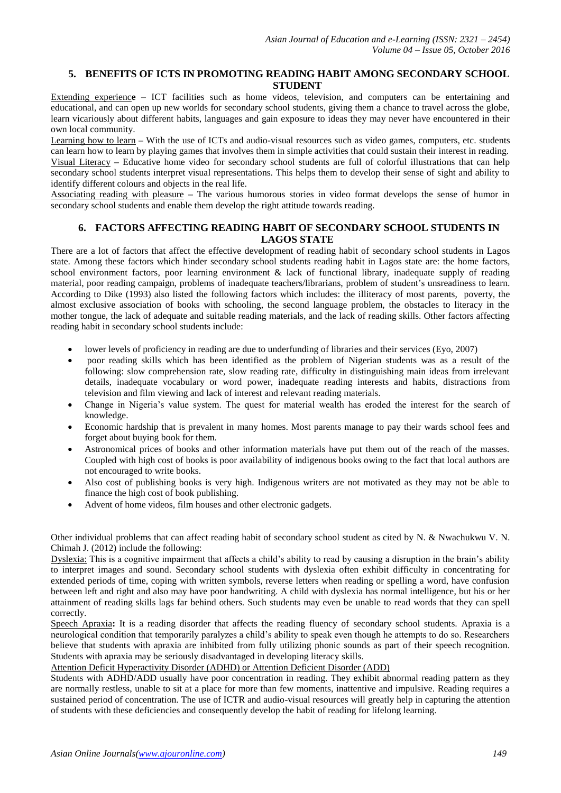#### **5. BENEFITS OF ICTS IN PROMOTING READING HABIT AMONG SECONDARY SCHOOL STUDENT**

Extending experienc**e** – ICT facilities such as home videos, television, and computers can be entertaining and educational, and can open up new worlds for secondary school students, giving them a chance to travel across the globe, learn vicariously about different habits, languages and gain exposure to ideas they may never have encountered in their own local community.

Learning how to learn **–** With the use of ICTs and audio-visual resources such as video games, computers, etc. students can learn how to learn by playing games that involves them in simple activities that could sustain their interest in reading. Visual Literacy **–** Educative home video for secondary school students are full of colorful illustrations that can help secondary school students interpret visual representations. This helps them to develop their sense of sight and ability to identify different colours and objects in the real life.

Associating reading with pleasure **–** The various humorous stories in video format develops the sense of humor in secondary school students and enable them develop the right attitude towards reading.

#### **6. FACTORS AFFECTING READING HABIT OF SECONDARY SCHOOL STUDENTS IN LAGOS STATE**

There are a lot of factors that affect the effective development of reading habit of secondary school students in Lagos state. Among these factors which hinder secondary school students reading habit in Lagos state are: the home factors, school environment factors, poor learning environment & lack of functional library, inadequate supply of reading material, poor reading campaign, problems of inadequate teachers/librarians, problem of student's unsreadiness to learn. According to Dike (1993) also listed the following factors which includes: the illiteracy of most parents, poverty, the almost exclusive association of books with schooling, the second language problem, the obstacles to literacy in the mother tongue, the lack of adequate and suitable reading materials, and the lack of reading skills. Other factors affecting reading habit in secondary school students include:

- lower levels of proficiency in reading are due to underfunding of libraries and their services (Eyo, 2007)
- poor reading skills which has been identified as the problem of Nigerian students was as a result of the following: slow comprehension rate, slow reading rate, difficulty in distinguishing main ideas from irrelevant details, inadequate vocabulary or word power, inadequate reading interests and habits, distractions from television and film viewing and lack of interest and relevant reading materials.
- Change in Nigeria's value system. The quest for material wealth has eroded the interest for the search of knowledge.
- Economic hardship that is prevalent in many homes. Most parents manage to pay their wards school fees and forget about buying book for them.
- Astronomical prices of books and other information materials have put them out of the reach of the masses. Coupled with high cost of books is poor availability of indigenous books owing to the fact that local authors are not encouraged to write books.
- Also cost of publishing books is very high. Indigenous writers are not motivated as they may not be able to finance the high cost of book publishing.
- Advent of home videos, film houses and other electronic gadgets.

Other individual problems that can affect reading habit of secondary school student as cited by N. & Nwachukwu V. N. Chimah J. (2012) include the following:

Dyslexia: This is a cognitive impairment that affects a child's ability to read by causing a disruption in the brain's ability to interpret images and sound. Secondary school students with dyslexia often exhibit difficulty in concentrating for extended periods of time, coping with written symbols, reverse letters when reading or spelling a word, have confusion between left and right and also may have poor handwriting. A child with dyslexia has normal intelligence, but his or her attainment of reading skills lags far behind others. Such students may even be unable to read words that they can spell correctly.

Speech Apraxia**:** It is a reading disorder that affects the reading fluency of secondary school students. Apraxia is a neurological condition that temporarily paralyzes a child's ability to speak even though he attempts to do so. Researchers believe that students with apraxia are inhibited from fully utilizing phonic sounds as part of their speech recognition. Students with apraxia may be seriously disadvantaged in developing literacy skills.

Attention Deficit Hyperactivity Disorder (ADHD) or Attention Deficient Disorder (ADD)

Students with ADHD/ADD usually have poor concentration in reading. They exhibit abnormal reading pattern as they are normally restless, unable to sit at a place for more than few moments, inattentive and impulsive. Reading requires a sustained period of concentration. The use of ICTR and audio-visual resources will greatly help in capturing the attention of students with these deficiencies and consequently develop the habit of reading for lifelong learning.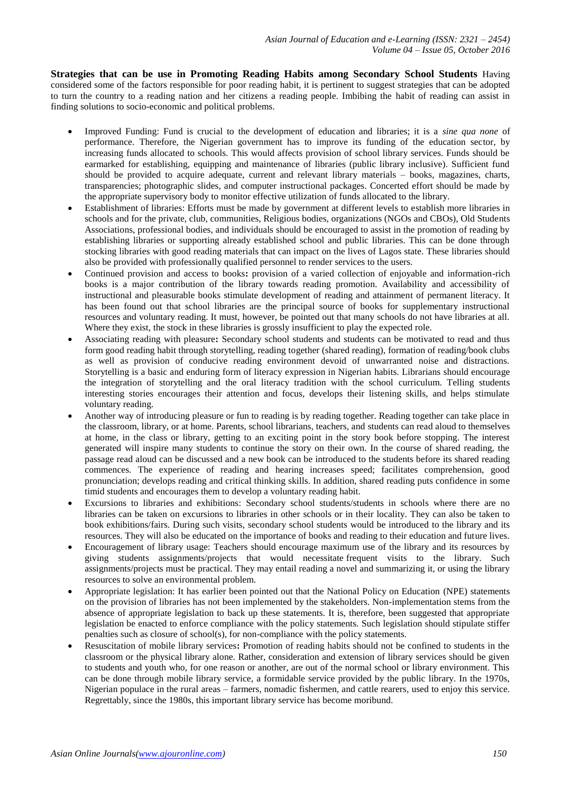**Strategies that can be use in Promoting Reading Habits among Secondary School Students** Having considered some of the factors responsible for poor reading habit, it is pertinent to suggest strategies that can be adopted to turn the country to a reading nation and her citizens a reading people. Imbibing the habit of reading can assist in finding solutions to socio-economic and political problems.

- Improved Funding: Fund is crucial to the development of education and libraries; it is a *sine qua none* of performance. Therefore, the Nigerian government has to improve its funding of the education sector, by increasing funds allocated to schools. This would affects provision of school library services. Funds should be earmarked for establishing, equipping and maintenance of libraries (public library inclusive). Sufficient fund should be provided to acquire adequate, current and relevant library materials – books, magazines, charts, transparencies; photographic slides, and computer instructional packages. Concerted effort should be made by the appropriate supervisory body to monitor effective utilization of funds allocated to the library.
- Establishment of libraries: Efforts must be made by government at different levels to establish more libraries in schools and for the private, club, communities, Religious bodies, organizations (NGOs and CBOs), Old Students Associations, professional bodies, and individuals should be encouraged to assist in the promotion of reading by establishing libraries or supporting already established school and public libraries. This can be done through stocking libraries with good reading materials that can impact on the lives of Lagos state. These libraries should also be provided with professionally qualified personnel to render services to the users.
- Continued provision and access to books**:** provision of a varied collection of enjoyable and information-rich books is a major contribution of the library towards reading promotion. Availability and accessibility of instructional and pleasurable books stimulate development of reading and attainment of permanent literacy. It has been found out that school libraries are the principal source of books for supplementary instructional resources and voluntary reading. It must, however, be pointed out that many schools do not have libraries at all. Where they exist, the stock in these libraries is grossly insufficient to play the expected role.
- Associating reading with pleasure**:** Secondary school students and students can be motivated to read and thus form good reading habit through storytelling, reading together (shared reading), formation of reading/book clubs as well as provision of conducive reading environment devoid of unwarranted noise and distractions. Storytelling is a basic and enduring form of literacy expression in Nigerian habits. Librarians should encourage the integration of storytelling and the oral literacy tradition with the school curriculum. Telling students interesting stories encourages their attention and focus, develops their listening skills, and helps stimulate voluntary reading.
- Another way of introducing pleasure or fun to reading is by reading together. Reading together can take place in the classroom, library, or at home. Parents, school librarians, teachers, and students can read aloud to themselves at home, in the class or library, getting to an exciting point in the story book before stopping. The interest generated will inspire many students to continue the story on their own. In the course of shared reading, the passage read aloud can be discussed and a new book can be introduced to the students before its shared reading commences. The experience of reading and hearing increases speed; facilitates comprehension, good pronunciation; develops reading and critical thinking skills. In addition, shared reading puts confidence in some timid students and encourages them to develop a voluntary reading habit.
- Excursions to libraries and exhibitions: Secondary school students/students in schools where there are no libraries can be taken on excursions to libraries in other schools or in their locality. They can also be taken to book exhibitions/fairs. During such visits, secondary school students would be introduced to the library and its resources. They will also be educated on the importance of books and reading to their education and future lives.
- Encouragement of library usage: Teachers should encourage maximum use of the library and its resources by giving students assignments/projects that would necessitate frequent visits to the library. Such assignments/projects must be practical. They may entail reading a novel and summarizing it, or using the library resources to solve an environmental problem.
- Appropriate legislation: It has earlier been pointed out that the National Policy on Education (NPE) statements on the provision of libraries has not been implemented by the stakeholders. Non-implementation stems from the absence of appropriate legislation to back up these statements. It is, therefore, been suggested that appropriate legislation be enacted to enforce compliance with the policy statements. Such legislation should stipulate stiffer penalties such as closure of school(s), for non-compliance with the policy statements.
- Resuscitation of mobile library services**:** Promotion of reading habits should not be confined to students in the classroom or the physical library alone. Rather, consideration and extension of library services should be given to students and youth who, for one reason or another, are out of the normal school or library environment. This can be done through mobile library service, a formidable service provided by the public library. In the 1970s, Nigerian populace in the rural areas – farmers, nomadic fishermen, and cattle rearers, used to enjoy this service. Regrettably, since the 1980s, this important library service has become moribund.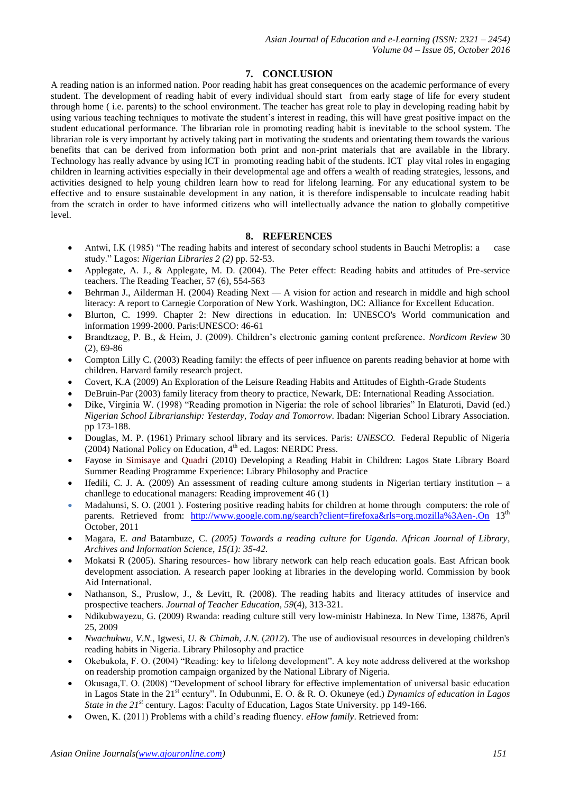# **7. CONCLUSION**

A reading nation is an informed nation. Poor reading habit has great consequences on the academic performance of every student. The development of reading habit of every individual should start from early stage of life for every student through home ( i.e. parents) to the school environment. The teacher has great role to play in developing reading habit by using various teaching techniques to motivate the student's interest in reading, this will have great positive impact on the student educational performance. The librarian role in promoting reading habit is inevitable to the school system. The librarian role is very important by actively taking part in motivating the students and orientating them towards the various benefits that can be derived from information both print and non-print materials that are available in the library. Technology has really advance by using ICT in promoting reading habit of the students. ICT play vital roles in engaging children in learning activities especially in their developmental age and offers a wealth of reading strategies, lessons, and activities designed to help young children learn how to read for lifelong learning. For any educational system to be effective and to ensure sustainable development in any nation, it is therefore indispensable to inculcate reading habit from the scratch in order to have informed citizens who will intellectually advance the nation to globally competitive level.

### **8. REFERENCES**

- Antwi, I.K (1985) "The reading habits and interest of secondary school students in Bauchi Metroplis: a case study." Lagos: *Nigerian Libraries 2 (2)* pp. 52-53.
- Applegate, A. J., & Applegate, M. D. (2004). The Peter effect: Reading habits and attitudes of Pre-service teachers. The Reading Teacher, 57 (6), 554-563
- Behrman J., Ailderman H. (2004) Reading Next  $-A$  vision for action and research in middle and high school literacy: A report to Carnegie Corporation of New York. Washington, DC: Alliance for Excellent Education.
- Blurton, C. 1999. Chapter 2: New directions in education. In: UNESCO's World communication and information 1999-2000. Paris:UNESCO: 46-61
- Brandtzaeg, P. B., & Heim, J. (2009). Children's electronic gaming content preference*. Nordicom Review* 30 (2), 69-86
- Compton Lilly C. (2003) Reading family: the effects of peer influence on parents reading behavior at home with children. Harvard family research project.
- Covert, K.A (2009) An Exploration of the Leisure Reading Habits and Attitudes of Eighth-Grade Students
- DeBruin-Par (2003) family literacy from theory to practice, Newark, DE: International Reading Association.
- Dike, Virginia W. (1998) "Reading promotion in Nigeria: the role of school libraries" In Elaturoti, David (ed.) *Nigerian School Librarianship: Yesterday, Today and Tomorrow*. Ibadan: Nigerian School Library Association. pp 173-188.
- Douglas, M. P. (1961) Primary school library and its services. Paris: *UNESCO.* Federal Republic of Nigeria  $(2004)$  National Policy on Education,  $4<sup>th</sup>$  ed. Lagos: NERDC Press.
- Fayose in Simisaye and Quadri (2010) Developing a Reading Habit in Children: Lagos State Library Board Summer Reading Programme Experience: Library Philosophy and Practice
- Ifedili, C. J. A. (2009) An assessment of reading culture among students in Nigerian tertiary institution a chanllege to educational managers: Reading improvement 46 (1)
- Madahunsi, S. O. (2001 ). Fostering positive reading habits for children at home through computers: the role of parents. Retrieved from: <http://www.google.com.ng/search?client=firefoxa&rls=org.mozilla%3Aen-.On> 13<sup>th</sup> October, 2011
- Magara, E. *and* Batambuze, C. *(2005) Towards a reading culture for Uganda. African Journal of Library, Archives and Information Science, 15(1): 35-42.*
- Mokatsi R (2005). Sharing resources- how library network can help reach education goals. East African book development association. A research paper looking at libraries in the developing world. Commission by book Aid International.
- Nathanson, S., Pruslow, J., & Levitt, R. (2008). The reading habits and literacy attitudes of inservice and prospective teachers. *Journal of Teacher Education*, *59*(4), 313-321.
- Ndikubwayezu, G. (2009) Rwanda: reading culture still very low-ministr Habineza. In New Time, 13876, April 25, 2009
- *Nwachukwu*, *V.N.*, Igwesi, *U*. & *Chimah*, *J.N.* (*2012*). The use of audiovisual resources in developing children's reading habits in Nigeria. Library Philosophy and practice
- Okebukola, F. O. (2004) "Reading: key to lifelong development". A key note address delivered at the workshop on readership promotion campaign organized by the National Library of Nigeria.
- Okusaga,T. O. (2008) "Development of school library for effective implementation of universal basic education in Lagos State in the 21st century". In Odubunmi, E. O. & R. O. Okuneye (ed.) *Dynamics of education in Lagos State in the 21st* century. Lagos: Faculty of Education, Lagos State University. pp 149-166.
- Owen, K. (2011) Problems with a child's reading fluency. *eHow family*. Retrieved from: